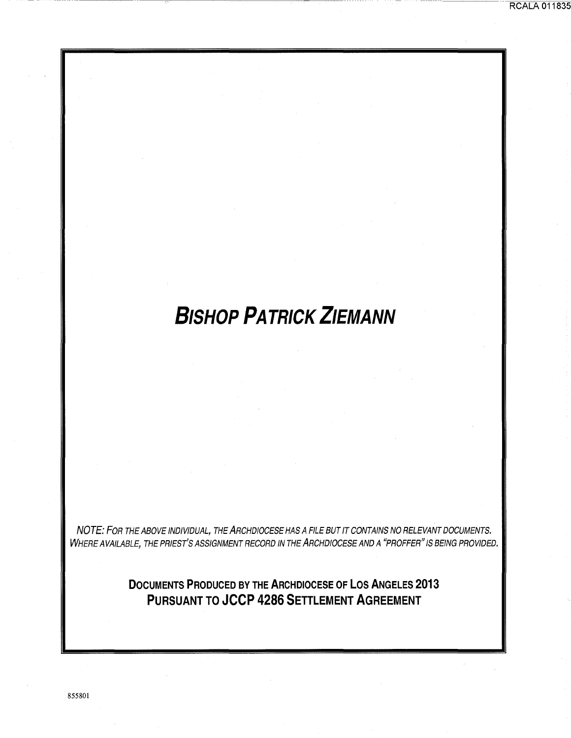## **RCALA 011835**

# **BISHOP PATRICK ZIEMANN**

NOTE: FOR THE ABOVE INDIVIDUAL, THE ARCHDIOCESE HAS A FILE BUT IT CONTAINS NO RELEVANT DOCUMENTS. WHERE AVAILABLE, THE PRIEST'S ASSIGNMENT RECORD IN THE ARCHDIOCESE AND A "PROFFER" IS BEING PROVIDED.

> **DOCUMENTS PRODUCED BY THE ARCHDIOCESE OF LOS ANGELES 2013 PURSUANT TO JCCP 4286 SETTLEMENT AGREEMENT**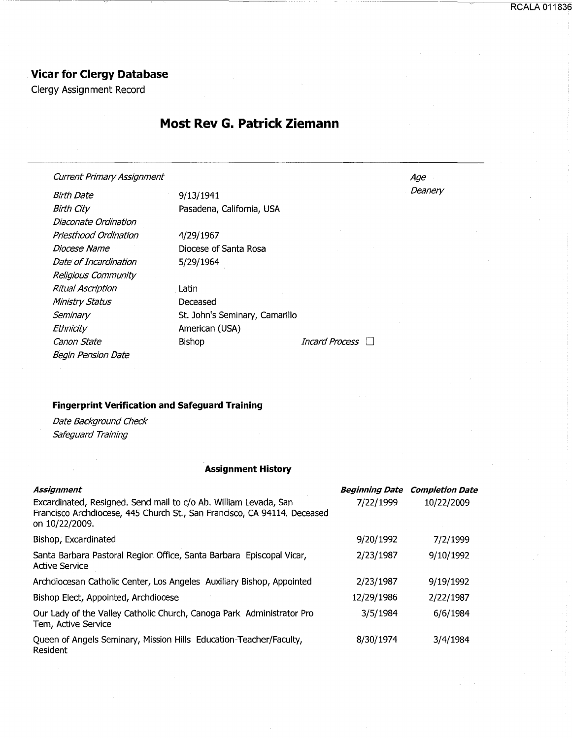RCALA 011836

## **Vicar for Clergy Database**

Clergy Assignment Record

## **Most Rev G. Patrick Ziemann**

## Current Primary Assignment

Birth Date Birth City Diaconate Ordination Priesthood Ordination Diocese Name Date of Incardination Religious Community Ritual Ascription Ministry Status **Seminary Ethnicity** Canon State **Bishop** Bishop *Incard Process* D Begin Pension Date

9/13/1941 Pasadena, California, USA 4/29/1967 Diocese of Santa Rosa 5/29/1964 Latin Deceased St. John's Seminary, Camarillo

American (USA)

Age **Deanery** 

## **Fingerprint Verification and Safeguard Training**

Date Background Check Safeguard Training

## **Assignment History**

| Assignment                                                                                                                                                     |            | <b>Beginning Date Completion Date</b> |
|----------------------------------------------------------------------------------------------------------------------------------------------------------------|------------|---------------------------------------|
| Excardinated, Resigned. Send mail to c/o Ab. William Levada, San<br>Francisco Archdiocese, 445 Church St., San Francisco, CA 94114. Deceased<br>on 10/22/2009. | 7/22/1999  | 10/22/2009                            |
| Bishop, Excardinated                                                                                                                                           | 9/20/1992  | 7/2/1999                              |
| Santa Barbara Pastoral Region Office, Santa Barbara Episcopal Vicar,<br><b>Active Service</b>                                                                  | 2/23/1987  | 9/10/1992                             |
| Archdiocesan Catholic Center, Los Angeles Auxiliary Bishop, Appointed                                                                                          | 2/23/1987  | 9/19/1992                             |
| Bishop Elect, Appointed, Archdiocese                                                                                                                           | 12/29/1986 | 2/22/1987                             |
| Our Lady of the Valley Catholic Church, Canoga Park Administrator Pro<br>Tem, Active Service                                                                   | 3/5/1984   | 6/6/1984                              |
| Queen of Angels Seminary, Mission Hills Education-Teacher/Faculty,<br>Resident                                                                                 | 8/30/1974  | 3/4/1984                              |